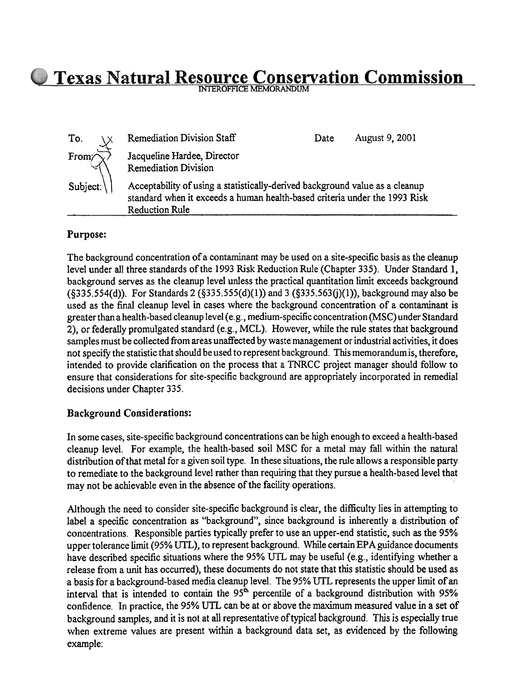<u>Conservation Commission</u>

| To.                  | Remediation Division Staff                                 | Date:                                                                                                                                                      | August 9, 2001 |  |
|----------------------|------------------------------------------------------------|------------------------------------------------------------------------------------------------------------------------------------------------------------|----------------|--|
| From $\sqrt{x}$      | Jacqueline Hardee, Director<br><b>Remediation Division</b> |                                                                                                                                                            |                |  |
| Subject: $\setminus$ | <b>Reduction Rule</b>                                      | Acceptability of using a statistically-derived background value as a cleanup<br>standard when it exceeds a human health-based criteria under the 1993 Risk |                |  |

## Purpose:

The background concentration of a contaminant may be used on a site-specific basis as the cleanup level under all three standards of the 1993 Risk Reduction Rule (Chapter 335). Under Standard J, background serves as the cleanup level unless the practical quantitation limit exceeds background  $(8335.554(d))$ . For Standards 2  $(8335.555(d)(1))$  and 3  $(8335.563(i)(1))$ , background may also be used as the final cleanup level in cases where the background concentration of a contaminant is greater than a health-based cleanup level (e.g., medium-specific concentration (MSC) under Standard 2), or federally promulgated standard (e.g., MCL). However, while the rule states that background samples must be collected from areas unaffected by waste management or industrial activities, it does not specify the statistic that should be used to represent background. This memorandum is, therefore, intended to provide clarification on the process that a TNRCC project manager should follow to ensure that considerations for site-specific background are appropriately incorporated in remedial decisions under Chapter 335.

## Background Considerations:

In some cases, site-specific background concentrations can be high enough to exceed a health-based cleanup level. For example, the health-based soil MSC for a metal may fall within the natural distribution of that metal for a given soil type. In these situations, the rule allows a responsible party to remediate to the background level rather than requiring that they pursue a health-based level that

Although the need to consider site-specific background is clear, the difficulty lies in attempting to label a specific concentration as "background", since background is inherently a distribution of concentrations. Responsible parties typically prefer to use an upper-end statistic, such as the 95% upper tolerance limit (95% UTL), to represent background. While certain EPA guidance documents have described specific situations where the 95% UTL may be useful (e.g., identifying whether a release from a unit has occurred), these documents do not state that this statistic should be used as a basis for a background-based media cleanup level. The 95% UTL represents the upper limit of an interval that is intended to contain the 95<sup>th</sup> percentile of a background distribution with 95% confidence. In practice, the 95% UTL can be at or above the maximum measured value in a set of background samples, and it is not at all representative of typical background. This is especially true when extreme values are present within a background data set, as evidenced by the following example: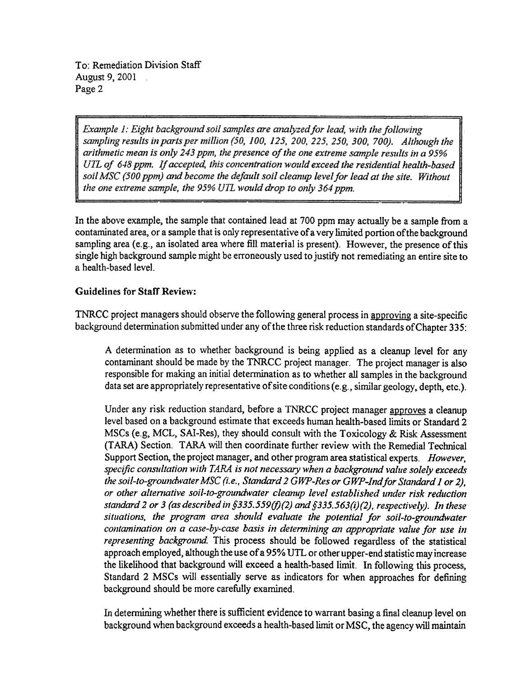To: Remediation Division Staff August 9, 2001 . Page 2

Example 1: Eight background soil samples are analyzed for lead, with the following sampling results in parts per million (50, 100, 125, 200, 225, 250, 300, 700). Although the arithmetic mean is only 243 ppm, the presence of the one extreme sample results in a 95% UTL of 648 ppm. If accepted, this concentration would exceed the residential health-based soil MSC (500 ppm) and become the default soil cleamip level for lead at the site. Without the one extreme sample, the 95% UTL would drop to only 364 ppm.

In the above example, the sample that contained lead at 700 ppm may actually be a sample from a contaminated area, or a sample that is only representative of a very limited portion of the background sampling area (e.g., an isolated area where fill material is present). However, the presence of this single high background sample might be erroneously used to justify not remediating an entire site to a health-based level.

## Guidelines for Staff Review:

TNRCC project managers should observe the following general process in approving a site-specific background determination submitted under any of the three risk reduction standards ofChapter 335:

A determination as to whether background is being applied as a cleanup level for any contaminant should be made by the TNRCC project manager. The project manager is also responsible for making an initial determination as to whether all samples in the background data set are appropriately representative of site conditions (e.g., similar geology, depth, etc.).

Under any risk reduction standard, before a TNRCC project manager approves a cleanup level based on a background estimate that exceeds human health-based limits or Standard 2 MSCs (e.g, MCL, SAI-Res), they should consult with the Toxicology & Risk Assessment (TARA) Section. TARA will then coordinate further review with the Remedial Technical Support Section, the project manager, and other program area statistical experts. However, specific consultation with TARA is not necessary when a background value solely exceeds the soil-to-groundwater MSC (i. e., Standard 2 GWP-Res or GWP-Indfor Standard J or 2), or other alternative soil-to-groundwater cleanup level established under risk reduction standard 2 or 3 (as described in §335.559(f)(2) and §335.563(i)(2), respectively). In these situations, the program area should evaluate the potential for soil-to-groundwater contamination on a case-by-case basis in determining an appropriate value for use in representing background. This process should be followed regardless of the statistical approach employed, although the use of a 95% UTL or other upper -end statistic may increase the likelihood that background will exceed a health-based limit. In following this process, Standard 2 MSCs will essentially serve as indicators for when approaches for defining background should be more carefully examined.

In determining whether there is sufficient evidence to warrant basing a final cleanup level on background when background exceeds a health-based limit or MSC, the agency will maintain